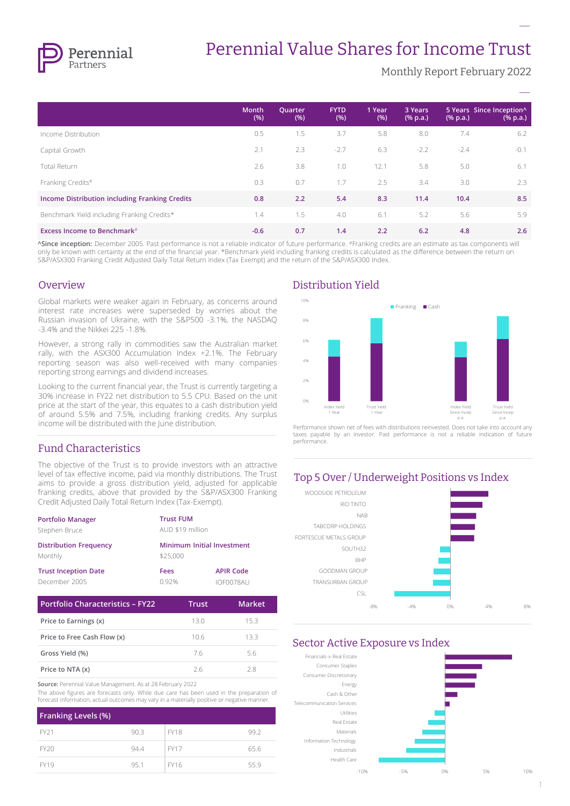

# Perennial Value Shares for Income Trust

Monthly Report February 2022

**–**

|                                                | <b>Month</b><br>(% ) | Quarter<br>(% ) | <b>FYTD</b><br>(% ) | 1 Year<br>(% ) | 3 Years<br>$(% \mathbf{a})$ (% p.a.) | $(% \mathbf{a})$ (% p.a.) | 5 Years Since Inception^<br>$(% \mathbf{a})$ (% p.a.) |
|------------------------------------------------|----------------------|-----------------|---------------------|----------------|--------------------------------------|---------------------------|-------------------------------------------------------|
| Income Distribution                            | 0.5                  | 1.5             | 3.7                 | 5.8            | 8.0                                  | 7.4                       | 6.2                                                   |
| Capital Growth                                 | 2.1                  | 2.3             | $-2.7$              | 6.3            | $-2.2$                               | $-2.4$                    | $-0.1$                                                |
| Total Return                                   | 2.6                  | 3.8             | 1.0                 | 12.1           | 5.8                                  | 5.0                       | 6.1                                                   |
| Franking Credits#                              | 0.3                  | 0.7             | 1.7                 | 2.5            | 3.4                                  | 3.0                       | 2.3                                                   |
| Income Distribution including Franking Credits | 0.8                  | 2.2             | 5.4                 | 8.3            | 11.4                                 | 10.4                      | 8.5                                                   |
| Benchmark Yield including Franking Credits*    | 1.4                  | 1.5             | 4.0                 | 6.1            | 5.2                                  | 5.6                       | 5.9                                                   |
| <b>Excess Income to Benchmark</b> #            | $-0.6$               | 0.7             | 1.4                 | 2.2            | 6.2                                  | 4.8                       | 2.6                                                   |

**^Since inception:** December 2005. Past performance is not a reliable indicator of future performance. #Franking credits are an estimate as tax components will only be known with certainty at the end of the financial year. \*Benchmark yield including franking credits is calculated as the difference between the return on S&P/ASX300 Franking Credit Adjusted Daily Total Return Index (Tax Exempt) and the return of the S&P/ASX300 Index.

#### Overview

Global markets were weaker again in February, as concerns around interest rate increases were superseded by worries about the Russian invasion of Ukraine, with the S&P500 -3.1%, the NASDAQ -3.4% and the Nikkei 225 -1.8%.

However, a strong rally in commodities saw the Australian market rally, with the ASX300 Accumulation Index +2.1%. The February reporting season was also well-received with many companies reporting strong earnings and dividend increases.

Looking to the current financial year, the Trust is currently targeting a 30% increase in FY22 net distribution to 5.5 CPU. Based on the unit price at the start of the year, this equates to a cash distribution yield of around 5.5% and 7.5%, including franking credits. Any surplus income will be distributed with the June distribution.

# Fund Characteristics

The objective of the Trust is to provide investors with an attractive level of tax effective income, paid via monthly distributions. The Trust aims to provide a gross distribution yield, adjusted for applicable franking credits, above that provided by the S&P/ASX300 Franking Credit Adjusted Daily Total Return Index (Tax-Exempt).

| <b>Portfolio Manager</b>                 | <b>Trust FUM</b>                       |                  |  |
|------------------------------------------|----------------------------------------|------------------|--|
| Stephen Bruce                            | AUD \$19 million                       |                  |  |
| <b>Distribution Frequency</b><br>Monthly | Minimum Initial Investment<br>\$25,000 |                  |  |
| <b>Trust Inception Date</b>              | Fees                                   | <b>APIR Code</b> |  |
| December 2005                            | 0.92%                                  | IOF0078AU        |  |

| Portfolio Characteristics - FY22 | Trust | <b>Market</b> |
|----------------------------------|-------|---------------|
| Price to Earnings (x)            | 130   | 15.3          |
| Price to Free Cash Flow (x)      | 106   | 133           |
| Gross Yield (%)                  | 76    | 56            |
| Price to NTA (x)                 | 26    | 28            |

**Source:** Perennial Value Management. As at 28 February 2022

The above figures are forecasts only. While due care has been used in the preparation of forecast information, actual outcomes may vary in a materially positive or negative manner.

| <b>Franking Levels (%)</b> |      |             |      |
|----------------------------|------|-------------|------|
| FY21                       | 90.3 | <b>FY18</b> | 99.2 |
| FY20                       | 94.4 | <b>FY17</b> | 65.6 |
| <b>FY19</b>                | 95.1 | <b>FY16</b> | 55.9 |

# Distribution Yield



Performance shown net of fees with distributions reinvested. Does not take into account any taxes payable by an investor. Past performance is not a reliable indication of future performance.

# Top 5 Over / Underweight Positions vs Index



#### Sector Active Exposure vs Index